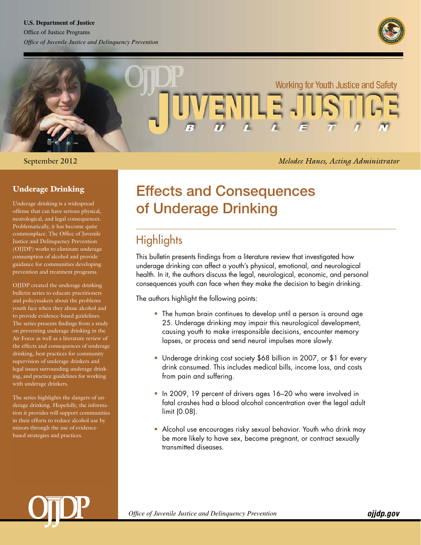



#### September 2012

*Melodee Hanes, Acting Administrator*

#### Underage Drinking

Underage drinking is a widespread offense that can have serious physical, neurological, and legal consequences. Problematically, it has become quite commonplace. The Office of Juvenile Justice and Delinquency Prevention (OJJDP) works to eliminate underage consumption of alcohol and provide guidance for communities developing prevention and treatment programs.

OJJDP created the underage drinking bulletin series to educate practitioners and policymakers about the problems youth face when they abuse alcohol and to provide evidence-based guidelines. The series presents findings from a study on preventing underage drinking in the Air Force as well as a literature review of the effects and consequences of underage drinking, best practices for community supervision of underage drinkers and legal issues surrounding underage drinking, and practice guidelines for working with underage drinkers.

The series highlights the dangers of underage drinking. Hopefully, the information it provides will support communities in their efforts to reduce alcohol use by minors through the use of evidencebased strategies and practices.

# Effects and Consequences of Underage Drinking

# **Highlights**

This bulletin presents findings from a literature review that investigated how underage drinking can affect a youth's physical, emotional, and neurological health. In it, the authors discuss the legal, neurological, economic, and personal consequences youth can face when they make the decision to begin drinking.

The authors highlight the following points:

- The human brain continues to develop until a person is around age 25. Underage drinking may impair this neurological development, causing youth to make irresponsible decisions, encounter memory lapses, or process and send neural impulses more slowly.
- Underage drinking cost society \$68 billion in 2007, or \$1 for every drink consumed. This includes medical bills, income loss, and costs from pain and suffering.
- In 2009, 19 percent of drivers ages 16–20 who were involved in fatal crashes had a blood alcohol concentration over the legal adult limit (0.08).
- Alcohol use encourages risky sexual behavior. Youth who drink may be more likely to have sex, become pregnant, or contract sexually transmitted diseases.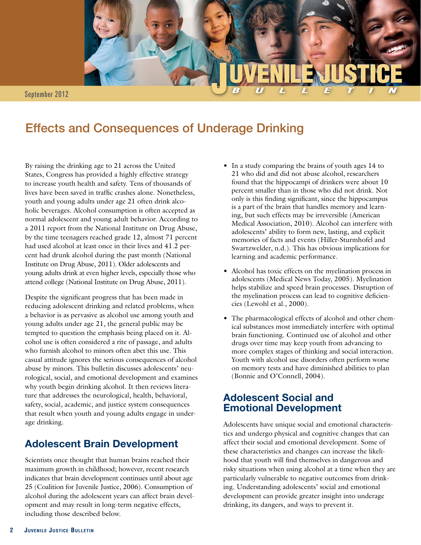September 2012

# Effects and Consequences of Underage Drinking

By raising the drinking age to 21 across the United States, Congress has provided a highly effective strategy to increase youth health and safety. Tens of thousands of lives have been saved in traffic crashes alone. Nonetheless, youth and young adults under age 21 often drink alcoholic beverages. Alcohol consumption is often accepted as normal adolescent and young adult behavior. According to a 2011 report from the National Institute on Drug Abuse, by the time teenagers reached grade 12, almost 71 percent had used alcohol at least once in their lives and 41.2 percent had drunk alcohol during the past month (National Institute on Drug Abuse, 2011). Older adolescents and young adults drink at even higher levels, especially those who attend college (National Institute on Drug Abuse, 2011).

Despite the significant progress that has been made in reducing adolescent drinking and related problems, when a behavior is as pervasive as alcohol use among youth and young adults under age 21, the general public may be tempted to question the emphasis being placed on it. Alcohol use is often considered a rite of passage, and adults who furnish alcohol to minors often abet this use. This casual attitude ignores the serious consequences of alcohol abuse by minors. This bulletin discusses adolescents' neurological, social, and emotional development and examines why youth begin drinking alcohol. It then reviews literature that addresses the neurological, health, behavioral, safety, social, academic, and justice system consequences that result when youth and young adults engage in underage drinking.

### Adolescent Brain Development

Scientists once thought that human brains reached their maximum growth in childhood; however, recent research indicates that brain development continues until about age 25 (Coalition for Juvenile Justice, 2006). Consumption of alcohol during the adolescent years can affect brain development and may result in long-term negative effects, including those described below.

- In a study comparing the brains of youth ages 14 to 21 who did and did not abuse alcohol, researchers found that the hippocampi of drinkers were about 10 percent smaller than in those who did not drink. Not only is this finding significant, since the hippocampus is a part of the brain that handles memory and learning, but such effects may be irreversible (American Medical Association, 2010). Alcohol can interfere with adolescents' ability to form new, lasting, and explicit memories of facts and events (Hiller-Sturmhofel and Swartzwelder, n.d.). This has obvious implications for learning and academic performance.
- Alcohol has toxic effects on the myelination process in adolescents (Medical News Today, 2005). Myelination helps stabilize and speed brain processes. Disruption of the myelination process can lead to cognitive deficiencies (Lewohl et al., 2000).
- The pharmacological effects of alcohol and other chemical substances most immediately interfere with optimal brain functioning. Continued use of alcohol and other drugs over time may keep youth from advancing to more complex stages of thinking and social interaction. Youth with alcohol use disorders often perform worse on memory tests and have diminished abilities to plan (Bonnie and O'Connell, 2004).

### Adolescent Social and Emotional Development

Adolescents have unique social and emotional characteristics and undergo physical and cognitive changes that can affect their social and emotional development. Some of these characteristics and changes can increase the likelihood that youth will find themselves in dangerous and risky situations when using alcohol at a time when they are particularly vulnerable to negative outcomes from drinking. Understanding adolescents' social and emotional development can provide greater insight into underage drinking, its dangers, and ways to prevent it.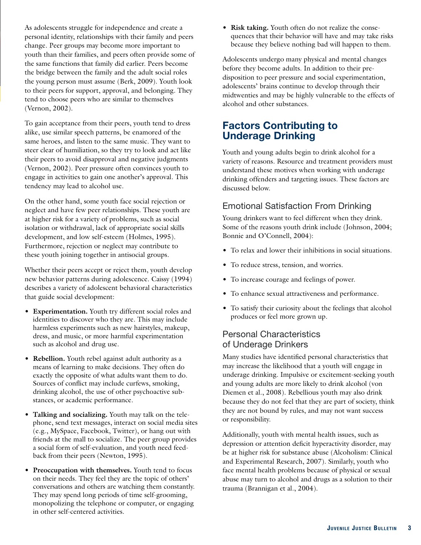As adolescents struggle for independence and create a personal identity, relationships with their family and peers change. Peer groups may become more important to youth than their families, and peers often provide some of the same functions that family did earlier. Peers become the bridge between the family and the adult social roles the young person must assume (Berk, 2009). Youth look to their peers for support, approval, and belonging. They tend to choose peers who are similar to themselves (Vernon, 2002).

To gain acceptance from their peers, youth tend to dress alike, use similar speech patterns, be enamored of the same heroes, and listen to the same music. They want to steer clear of humiliation, so they try to look and act like their peers to avoid disapproval and negative judgments (Vernon, 2002). Peer pressure often convinces youth to engage in activities to gain one another's approval. This tendency may lead to alcohol use.

On the other hand, some youth face social rejection or neglect and have few peer relationships. These youth are at higher risk for a variety of problems, such as social isolation or withdrawal, lack of appropriate social skills development, and low self-esteem (Holmes, 1995). Furthermore, rejection or neglect may contribute to these youth joining together in antisocial groups.

Whether their peers accept or reject them, youth develop new behavior patterns during adolescence. Caissy (1994) describes a variety of adolescent behavioral characteristics that guide social development:

- • **Experimentation.** Youth try different social roles and identities to discover who they are. This may include harmless experiments such as new hairstyles, makeup, dress, and music, or more harmful experimentation such as alcohol and drug use.
- • **Rebellion.** Youth rebel against adult authority as a means of learning to make decisions. They often do exactly the opposite of what adults want them to do. Sources of conflict may include curfews, smoking, drinking alcohol, the use of other psychoactive substances, or academic performance.
- • **Talking and socializing.** Youth may talk on the telephone, send text messages, interact on social media sites (e.g., MySpace, Facebook, Twitter), or hang out with friends at the mall to socialize. The peer group provides a social form of self-evaluation, and youth need feedback from their peers (Newton, 1995).
- Preoccupation with themselves. Youth tend to focus on their needs. They feel they are the topic of others' conversations and others are watching them constantly. They may spend long periods of time self-grooming, monopolizing the telephone or computer, or engaging in other self-centered activities.

• Risk taking. Youth often do not realize the consequences that their behavior will have and may take risks because they believe nothing bad will happen to them.

Adolescents undergo many physical and mental changes before they become adults. In addition to their predisposition to peer pressure and social experimentation, adolescents' brains continue to develop through their midtwenties and may be highly vulnerable to the effects of alcohol and other substances.

### Factors Contributing to Underage Drinking

Youth and young adults begin to drink alcohol for a variety of reasons. Resource and treatment providers must understand these motives when working with underage drinking offenders and targeting issues. These factors are discussed below.

### Emotional Satisfaction From Drinking

Young drinkers want to feel different when they drink. Some of the reasons youth drink include (Johnson, 2004; Bonnie and O'Connell, 2004):

- To relax and lower their inhibitions in social situations.
- To reduce stress, tension, and worries.
- • To increase courage and feelings of power.
- To enhance sexual attractiveness and performance.
- To satisfy their curiosity about the feelings that alcohol produces or feel more grown up.

### Personal Characteristics of Underage Drinkers

Many studies have identified personal characteristics that may increase the likelihood that a youth will engage in underage drinking. Impulsive or excitement-seeking youth and young adults are more likely to drink alcohol (von Diemen et al., 2008). Rebellious youth may also drink because they do not feel that they are part of society, think they are not bound by rules, and may not want success or responsibility.

Additionally, youth with mental health issues, such as depression or attention deficit hyperactivity disorder, may be at higher risk for substance abuse (Alcoholism: Clinical and Experimental Research, 2007). Similarly, youth who face mental health problems because of physical or sexual abuse may turn to alcohol and drugs as a solution to their trauma (Brannigan et al., 2004).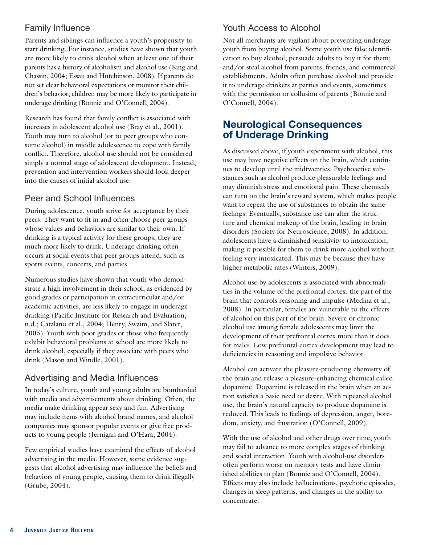### **Family Influence**

Parents and siblings can influence a youth's propensity to start drinking. For instance, studies have shown that youth are more likely to drink alcohol when at least one of their parents has a history of alcoholism and alcohol use (King and Chassin, 2004; Essau and Hutchinson, 2008). If parents do not set clear behavioral expectations or monitor their children's behavior, children may be more likely to participate in underage drinking (Bonnie and O'Connell, 2004).

Research has found that family conflict is associated with increases in adolescent alcohol use (Bray et al., 2001). Youth may turn to alcohol (or to peer groups who consume alcohol) in middle adolescence to cope with family conflict. Therefore, alcohol use should not be considered simply a normal stage of adolescent development. Instead, prevention and intervention workers should look deeper into the causes of initial alcohol use.

### Peer and School Influences

During adolescence, youth strive for acceptance by their peers. They want to fit in and often choose peer groups whose values and behaviors are similar to their own. If drinking is a typical activity for these groups, they are much more likely to drink. Underage drinking often occurs at social events that peer groups attend, such as sports events, concerts, and parties.

Numerous studies have shown that youth who demonstrate a high involvement in their school, as evidenced by good grades or participation in extracurricular and/or academic activities, are less likely to engage in underage drinking (Pacific Institute for Research and Evaluation, n.d.; Catalano et al., 2004; Henry, Swaim, and Slater, 2005). Youth with poor grades or those who frequently exhibit behavioral problems at school are more likely to drink alcohol, especially if they associate with peers who drink (Mason and Windle, 2001).

### Advertising and Media Influences

In today's culture, youth and young adults are bombarded with media and advertisements about drinking. Often, the media make drinking appear sexy and fun. Advertising may include items with alcohol brand names, and alcohol companies may sponsor popular events or give free products to young people (Jernigan and O'Hara, 2004).

Few empirical studies have examined the effects of alcohol advertising in the media. However, some evidence suggests that alcohol advertising may influence the beliefs and behaviors of young people, causing them to drink illegally (Grube, 2004).

### Youth Access to Alcohol

Not all merchants are vigilant about preventing underage youth from buying alcohol. Some youth use false identification to buy alcohol; persuade adults to buy it for them; and/or steal alcohol from parents, friends, and commercial establishments. Adults often purchase alcohol and provide it to underage drinkers at parties and events, sometimes with the permission or collusion of parents (Bonnie and O'Connell, 2004).

### Neurological Consequences of Underage Drinking

As discussed above, if youth experiment with alcohol, this use may have negative effects on the brain, which continues to develop until the midtwenties. Psychoactive substances such as alcohol produce pleasurable feelings and may diminish stress and emotional pain. These chemicals can turn on the brain's reward system, which makes people want to repeat the use of substances to obtain the same feelings. Eventually, substance use can alter the structure and chemical makeup of the brain, leading to brain disorders (Society for Neuroscience, 2008). In addition, adolescents have a diminished sensitivity to intoxication, making it possible for them to drink more alcohol without feeling very intoxicated. This may be because they have higher metabolic rates (Winters, 2009).

Alcohol use by adolescents is associated with abnormalities in the volume of the prefrontal cortex, the part of the brain that controls reasoning and impulse (Medina et al., 2008). In particular, females are vulnerable to the effects of alcohol on this part of the brain. Severe or chronic alcohol use among female adolescents may limit the development of their prefrontal cortex more than it does for males. Low prefrontal cortex development may lead to deficiencies in reasoning and impulsive behavior.

Alcohol can activate the pleasure-producing chemistry of the brain and release a pleasure-enhancing chemical called dopamine. Dopamine is released in the brain when an action satisfies a basic need or desire. With repeated alcohol use, the brain's natural capacity to produce dopamine is reduced. This leads to feelings of depression, anger, boredom, anxiety, and frustration (O'Connell, 2009).

With the use of alcohol and other drugs over time, youth may fail to advance to more complex stages of thinking and social interaction. Youth with alcohol-use disorders often perform worse on memory tests and have diminished abilities to plan (Bonnie and O'Connell, 2004). Effects may also include hallucinations, psychotic episodes, changes in sleep patterns, and changes in the ability to concentrate.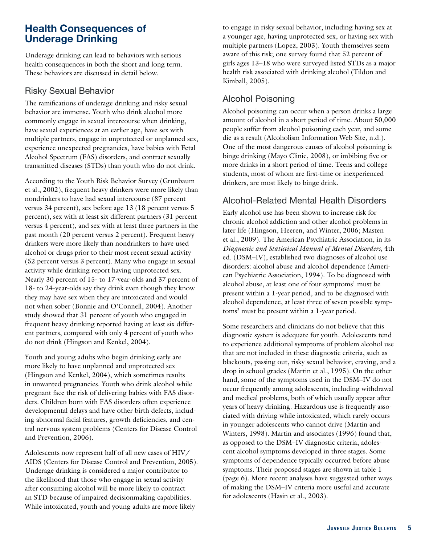### Health Consequences of Underage Drinking

Underage drinking can lead to behaviors with serious health consequences in both the short and long term. These behaviors are discussed in detail below.

### Risky Sexual Behavior

The ramifications of underage drinking and risky sexual behavior are immense. Youth who drink alcohol more commonly engage in sexual intercourse when drinking, have sexual experiences at an earlier age, have sex with multiple partners, engage in unprotected or unplanned sex, experience unexpected pregnancies, have babies with Fetal Alcohol Spectrum (FAS) disorders, and contract sexually transmitted diseases (STDs) than youth who do not drink.

According to the Youth Risk Behavior Survey (Grunbaum et al., 2002), frequent heavy drinkers were more likely than nondrinkers to have had sexual intercourse (87 percent versus 34 percent), sex before age 13 (18 percent versus 5 percent), sex with at least six different partners (31 percent versus 4 percent), and sex with at least three partners in the past month (20 percent versus 2 percent). Frequent heavy drinkers were more likely than nondrinkers to have used alcohol or drugs prior to their most recent sexual activity (52 percent versus 3 percent). Many who engage in sexual activity while drinking report having unprotected sex. Nearly 30 percent of 15- to 17-year-olds and 37 percent of 18- to 24-year-olds say they drink even though they know they may have sex when they are intoxicated and would not when sober (Bonnie and O'Connell, 2004). Another study showed that 31 percent of youth who engaged in frequent heavy drinking reported having at least six different partners, compared with only 4 percent of youth who do not drink (Hingson and Kenkel, 2004).

Youth and young adults who begin drinking early are more likely to have unplanned and unprotected sex (Hingson and Kenkel, 2004), which sometimes results in unwanted pregnancies. Youth who drink alcohol while pregnant face the risk of delivering babies with FAS disorders. Children born with FAS disorders often experience developmental delays and have other birth defects, including abnormal facial features, growth deficiencies, and central nervous system problems (Centers for Disease Control and Prevention, 2006).

Adolescents now represent half of all new cases of HIV/ AIDS (Centers for Disease Control and Prevention, 2005). Underage drinking is considered a major contributor to the likelihood that those who engage in sexual activity after consuming alcohol will be more likely to contract an STD because of impaired decisionmaking capabilities. While intoxicated, youth and young adults are more likely

to engage in risky sexual behavior, including having sex at a younger age, having unprotected sex, or having sex with multiple partners (Lopez, 2003). Youth themselves seem aware of this risk; one survey found that 52 percent of girls ages 13–18 who were surveyed listed STDs as a major health risk associated with drinking alcohol (Tildon and Kimball, 2005).

### Alcohol Poisoning

Alcohol poisoning can occur when a person drinks a large amount of alcohol in a short period of time. About 50,000 people suffer from alcohol poisoning each year, and some die as a result (Alcoholism Information Web Site, n.d.). One of the most dangerous causes of alcohol poisoning is binge drinking (Mayo Clinic, 2008), or imbibing five or more drinks in a short period of time. Teens and college students, most of whom are first-time or inexperienced drinkers, are most likely to binge drink.

### Alcohol-Related Mental Health Disorders

Early alcohol use has been shown to increase risk for chronic alcohol addiction and other alcohol problems in later life (Hingson, Heeren, and Winter, 2006; Masten et al., 2009). The American Psychiatric Association, in its *Diagnostic and Statistical Manual of Mental Disorders,* 4th ed. (DSM–IV), established two diagnoses of alcohol use disorders: alcohol abuse and alcohol dependence (American Psychiatric Association, 1994). To be diagnosed with alcohol abuse, at least one of four symptoms<sup>1</sup> must be present within a 1-year period, and to be diagnosed with alcohol dependence, at least three of seven possible symptoms<sup>2</sup> must be present within a 1-year period.

Some researchers and clinicians do not believe that this diagnostic system is adequate for youth. Adolescents tend to experience additional symptoms of problem alcohol use that are not included in these diagnostic criteria, such as blackouts, passing out, risky sexual behavior, craving, and a drop in school grades (Martin et al., 1995). On the other hand, some of the symptoms used in the DSM–IV do not occur frequently among adolescents, including withdrawal and medical problems, both of which usually appear after years of heavy drinking. Hazardous use is frequently associated with driving while intoxicated, which rarely occurs in younger adolescents who cannot drive (Martin and Winters, 1998). Martin and associates (1996) found that, as opposed to the DSM–IV diagnostic criteria, adolescent alcohol symptoms developed in three stages. Some symptoms of dependence typically occurred before abuse symptoms. Their proposed stages are shown in table 1 (page 6). More recent analyses have suggested other ways of making the DSM–IV criteria more useful and accurate for adolescents (Hasin et al., 2003).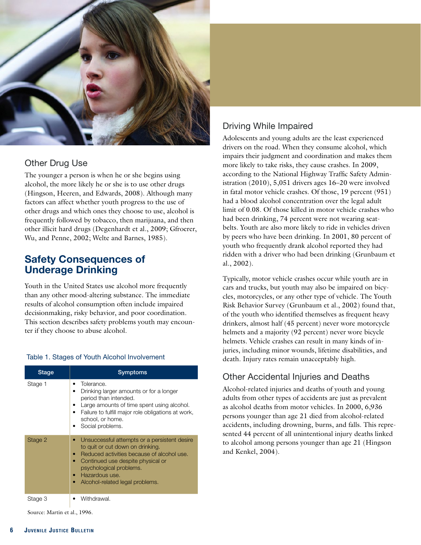

#### Other Drug Use

The younger a person is when he or she begins using alcohol, the more likely he or she is to use other drugs (Hingson, Heeren, and Edwards, 2008). Although many factors can affect whether youth progress to the use of other drugs and which ones they choose to use, alcohol is frequently followed by tobacco, then marijuana, and then other illicit hard drugs (Degenhardt et al., 2009; Gfroerer, Wu, and Penne, 2002; Welte and Barnes, 1985).

### Safety Consequences of Underage Drinking

Youth in the United States use alcohol more frequently than any other mood-altering substance. The immediate results of alcohol consumption often include impaired decisionmaking, risky behavior, and poor coordination. This section describes safety problems youth may encounter if they choose to abuse alcohol.

| <b>Stage</b> | Symptoms                                                                                                                                                                                                                                                 |
|--------------|----------------------------------------------------------------------------------------------------------------------------------------------------------------------------------------------------------------------------------------------------------|
| Stage 1      | Tolerance.<br>Drinking larger amounts or for a longer<br>٠<br>period than intended.<br>Large amounts of time spent using alcohol.<br>Failure to fulfill major role obligations at work,<br>٠<br>school, or home.<br>Social problems.<br>$\bullet$        |
| Stage 2      | Unsuccessful attempts or a persistent desire<br>to quit or cut down on drinking.<br>Reduced activities because of alcohol use.<br>Continued use despite physical or<br>۰<br>psychological problems.<br>Hazardous use.<br>Alcohol-related legal problems. |
| Stage 3      | Withdrawal.                                                                                                                                                                                                                                              |

#### Table 1. Stages of Youth Alcohol Involvement

### Driving While Impaired

Adolescents and young adults are the least experienced drivers on the road. When they consume alcohol, which impairs their judgment and coordination and makes them more likely to take risks, they cause crashes. In 2009, according to the National Highway Traffic Safety Administration (2010), 5,051 drivers ages 16–20 were involved in fatal motor vehicle crashes. Of those, 19 percent (951) had a blood alcohol concentration over the legal adult limit of 0.08. Of those killed in motor vehicle crashes who had been drinking, 74 percent were not wearing seatbelts. Youth are also more likely to ride in vehicles driven by peers who have been drinking. In 2001, 80 percent of youth who frequently drank alcohol reported they had ridden with a driver who had been drinking (Grunbaum et al., 2002).

Typically, motor vehicle crashes occur while youth are in cars and trucks, but youth may also be impaired on bicycles, motorcycles, or any other type of vehicle. The Youth Risk Behavior Survey (Grunbaum et al., 2002) found that, of the youth who identified themselves as frequent heavy drinkers, almost half (45 percent) never wore motorcycle helmets and a majority (92 percent) never wore bicycle helmets. Vehicle crashes can result in many kinds of injuries, including minor wounds, lifetime disabilities, and death. Injury rates remain unacceptably high.

### Other Accidental Injuries and Deaths

Alcohol-related injuries and deaths of youth and young adults from other types of accidents are just as prevalent as alcohol deaths from motor vehicles. In 2000, 6,936 persons younger than age 21 died from alcohol-related accidents, including drowning, burns, and falls. This represented 44 percent of all unintentional injury deaths linked to alcohol among persons younger than age 21 (Hingson and Kenkel, 2004).

Source: Martin et al., 1996.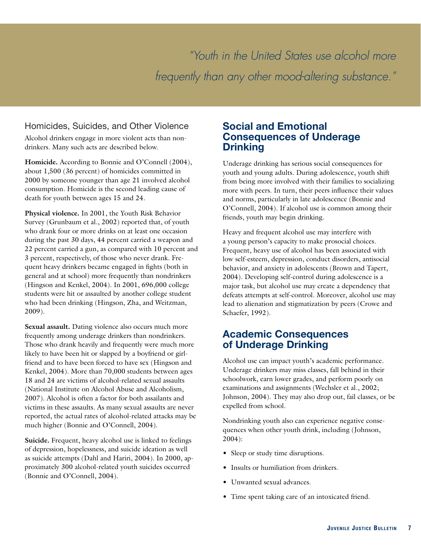*"Youth in the United States use alcohol more frequently than any other mood-altering substance."*

#### Homicides, Suicides, and Other Violence

Alcohol drinkers engage in more violent acts than nondrinkers. Many such acts are described below.

**Homicide.** According to Bonnie and O'Connell (2004), about 1,500 (36 percent) of homicides committed in 2000 by someone younger than age 21 involved alcohol consumption. Homicide is the second leading cause of death for youth between ages 15 and 24.

**Physical violence.** In 2001, the Youth Risk Behavior Survey (Grunbaum et al., 2002) reported that, of youth who drank four or more drinks on at least one occasion during the past 30 days, 44 percent carried a weapon and 22 percent carried a gun, as compared with 10 percent and 3 percent, respectively, of those who never drank. Frequent heavy drinkers became engaged in fights (both in general and at school) more frequently than nondrinkers (Hingson and Kenkel, 2004). In 2001, 696,000 college students were hit or assaulted by another college student who had been drinking (Hingson, Zha, and Weitzman, 2009).

**Sexual assault.** Dating violence also occurs much more frequently among underage drinkers than nondrinkers. Those who drank heavily and frequently were much more likely to have been hit or slapped by a boyfriend or girlfriend and to have been forced to have sex (Hingson and Kenkel, 2004). More than 70,000 students between ages 18 and 24 are victims of alcohol-related sexual assaults (National Institute on Alcohol Abuse and Alcoholism, 2007). Alcohol is often a factor for both assailants and victims in these assaults. As many sexual assaults are never reported, the actual rates of alcohol-related attacks may be much higher (Bonnie and O'Connell, 2004).

**Suicide.** Frequent, heavy alcohol use is linked to feelings of depression, hopelessness, and suicide ideation as well as suicide attempts (Dahl and Hariri, 2004). In 2000, approximately 300 alcohol-related youth suicides occurred (Bonnie and O'Connell, 2004).

### Social and Emotional Consequences of Underage Drinking

Underage drinking has serious social consequences for youth and young adults. During adolescence, youth shift from being more involved with their families to socializing more with peers. In turn, their peers influence their values and norms, particularly in late adolescence (Bonnie and O'Connell, 2004). If alcohol use is common among their friends, youth may begin drinking.

Heavy and frequent alcohol use may interfere with a young person's capacity to make prosocial choices. Frequent, heavy use of alcohol has been associated with low self-esteem, depression, conduct disorders, antisocial behavior, and anxiety in adolescents (Brown and Tapert, 2004). Developing self-control during adolescence is a major task, but alcohol use may create a dependency that defeats attempts at self-control. Moreover, alcohol use may lead to alienation and stigmatization by peers (Crowe and Schaefer, 1992).

### Academic Consequences of Underage Drinking

Alcohol use can impact youth's academic performance. Underage drinkers may miss classes, fall behind in their schoolwork, earn lower grades, and perform poorly on examinations and assignments (Wechsler et al., 2002; Johnson, 2004). They may also drop out, fail classes, or be expelled from school.

Nondrinking youth also can experience negative consequences when other youth drink, including (Johnson, 2004):

- Sleep or study time disruptions.
- Insults or humiliation from drinkers.
- Unwanted sexual advances.
- • Time spent taking care of an intoxicated friend.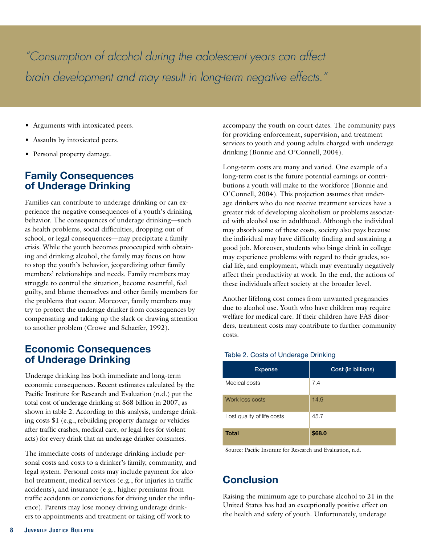*"Consumption of alcohol during the adolescent years can affect brain development and may result in long-term negative effects."*

- Arguments with intoxicated peers.
- Assaults by intoxicated peers.
- Personal property damage.

### Family Consequences of Underage Drinking

Families can contribute to underage drinking or can experience the negative consequences of a youth's drinking behavior. The consequences of underage drinking—such as health problems, social difficulties, dropping out of school, or legal consequences—may precipitate a family crisis. While the youth becomes preoccupied with obtaining and drinking alcohol, the family may focus on how to stop the youth's behavior, jeopardizing other family members' relationships and needs. Family members may struggle to control the situation, become resentful, feel guilty, and blame themselves and other family members for the problems that occur. Moreover, family members may try to protect the underage drinker from consequences by compensating and taking up the slack or drawing attention to another problem (Crowe and Schaefer, 1992).

### Economic Consequences of Underage Drinking

Underage drinking has both immediate and long-term economic consequences. Recent estimates calculated by the Pacific Institute for Research and Evaluation (n.d.) put the total cost of underage drinking at \$68 billion in 2007, as shown in table 2. According to this analysis, underage drinking costs \$1 (e.g., rebuilding property damage or vehicles after traffic crashes, medical care, or legal fees for violent acts) for every drink that an underage drinker consumes.

The immediate costs of underage drinking include personal costs and costs to a drinker's family, community, and legal system. Personal costs may include payment for alcohol treatment, medical services (e.g., for injuries in traffic accidents), and insurance (e.g., higher premiums from traffic accidents or convictions for driving under the influence). Parents may lose money driving underage drinkers to appointments and treatment or taking off work to

accompany the youth on court dates. The community pays for providing enforcement, supervision, and treatment services to youth and young adults charged with underage drinking (Bonnie and O'Connell, 2004).

Long-term costs are many and varied. One example of a long-term cost is the future potential earnings or contributions a youth will make to the workforce (Bonnie and O'Connell, 2004). This projection assumes that underage drinkers who do not receive treatment services have a greater risk of developing alcoholism or problems associated with alcohol use in adulthood. Although the individual may absorb some of these costs, society also pays because the individual may have difficulty finding and sustaining a good job. Moreover, students who binge drink in college may experience problems with regard to their grades, social life, and employment, which may eventually negatively affect their productivity at work. In the end, the actions of these individuals affect society at the broader level.

Another lifelong cost comes from unwanted pregnancies due to alcohol use. Youth who have children may require welfare for medical care. If their children have FAS disorders, treatment costs may contribute to further community costs.

#### Table 2. Costs of Underage Drinking

| <b>Expense</b>             | Cost (in billions) |
|----------------------------|--------------------|
| Medical costs              | 7.4                |
| Work loss costs            | 14.9               |
| Lost quality of life costs | 45.7               |
| <b>Total</b>               | \$68.0             |

Source: Pacific Institute for Research and Evaluation, n.d.

## Conclusion

Raising the minimum age to purchase alcohol to 21 in the United States has had an exceptionally positive effect on the health and safety of youth. Unfortunately, underage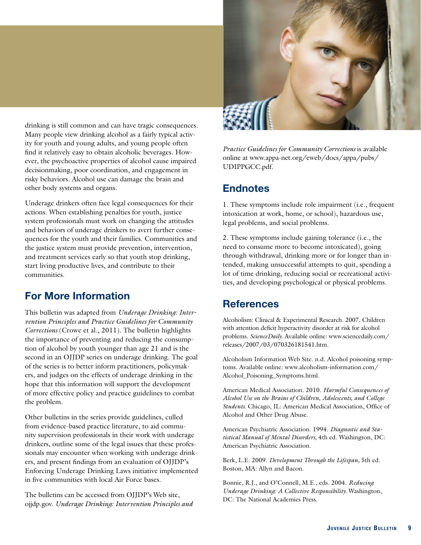

drinking is still common and can have tragic consequences. Many people view drinking alcohol as a fairly typical activity for youth and young adults, and young people often find it relatively easy to obtain alcoholic beverages. However, the psychoactive properties of alcohol cause impaired decisionmaking, poor coordination, and engagement in risky behaviors. Alcohol use can damage the brain and other body systems and organs.

Underage drinkers often face legal consequences for their actions. When establishing penalties for youth, justice system professionals must work on changing the attitudes and behaviors of underage drinkers to avert further consequences for the youth and their families. Communities and the justice system must provide prevention, intervention, and treatment services early so that youth stop drinking, start living productive lives, and contribute to their communities.

### For More Information

This bulletin was adapted from *Underage Drinking: Intervention Principles and Practice Guidelines for Community Corrections* (Crowe et al., 2011). The bulletin highlights the importance of preventing and reducing the consumption of alcohol by youth younger than age 21 and is the second in an OJJDP series on underage drinking. The goal of the series is to better inform practitioners, policymakers, and judges on the effects of underage drinking in the hope that this information will support the development of more effective policy and practice guidelines to combat the problem.

Other bulletins in the series provide guidelines, culled from evidence-based practice literature, to aid community supervision professionals in their work with underage drinkers, outline some of the legal issues that these professionals may encounter when working with underage drinkers, and present findings from an evaluation of OJJDP's Enforcing Underage Drinking Laws initiative implemented in five communities with local Air Force bases.

The bulletins can be accessed from OJJDP's Web site, ojjdp.gov. *Underage Drinking: Intervention Principles and*  *Practice Guidelines for Community Corrections* is available online at www.appa-net.org/eweb/docs/appa/pubs/ UDIPPGCC.pdf.

### **Endnotes**

1. These symptoms include role impairment (i.e., frequent intoxication at work, home, or school), hazardous use, legal problems, and social problems.

2. These symptoms include gaining tolerance (i.e., the need to consume more to become intoxicated), going through withdrawal, drinking more or for longer than intended, making unsuccessful attempts to quit, spending a lot of time drinking, reducing social or recreational activities, and developing psychological or physical problems.

### **References**

Alcoholism: Clinical & Experimental Research. 2007. Children with attention deficit hyperactivity disorder at risk for alcohol problems. *ScienceDaily.* Available online: www.sciencedaily.com/ releases/2007/03/070326181541.htm.

Alcoholism Information Web Site. n.d. Alcohol poisoning symptoms. Available online: www.alcoholism-information.com/ Alcohol\_Poisoning\_Symptoms.html.

American Medical Association. 2010. *Harmful Consequences of Alcohol Use on the Brains of Children, Adolescents, and College Students.* Chicago, IL: American Medical Association, Office of Alcohol and Other Drug Abuse.

American Psychiatric Association. 1994. *Diagnostic and Statistical Manual of Mental Disorders,* 4th ed. Washington, DC: American Psychiatric Association.

Berk, L.E. 2009. *Development Through the Lifespan,* 5th ed. Boston, MA: Allyn and Bacon.

Bonnie, R.J., and O'Connell, M.E., eds. 2004. *Reducing Underage Drinking: A Collective Responsibility.* Washington, DC: The National Academies Press.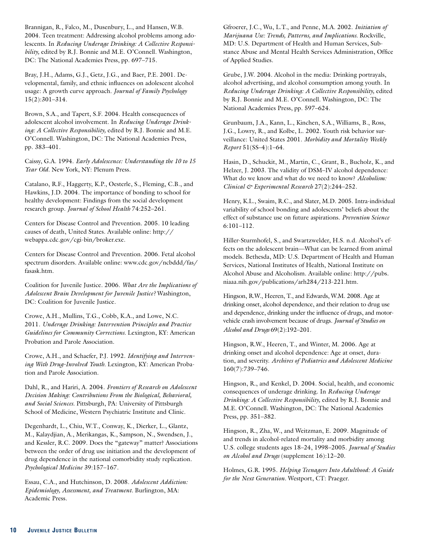Brannigan, R., Falco, M., Dusenbury, L., and Hansen, W.B. 2004. Teen treatment: Addressing alcohol problems among adolescents. In *Reducing Underage Drinking: A Collective Responsibility,* edited by R.J. Bonnie and M.E. O'Connell. Washington, DC: The National Academies Press, pp. 697–715.

Bray, J.H., Adams, G.J., Getz, J.G., and Baer, P.E. 2001. Developmental, family, and ethnic influences on adolescent alcohol usage: A growth curve approach. *Journal of Family Psychology* 15(2):301–314.

Brown, S.A., and Tapert, S.F. 2004. Health consequences of adolescent alcohol involvement. In *Reducing Underage Drinking: A Collective Responsibility,* edited by R.J. Bonnie and M.E. O'Connell. Washington, DC: The National Academies Press, pp. 383–401.

Caissy, G.A. 1994. *Early Adolescence: Understanding the 10 to 15 Year Old.* New York, NY: Plenum Press.

Catalano, R.F., Haggerty, K.P., Oesterle, S., Fleming, C.B., and Hawkins, J.D. 2004. The importance of bonding to school for healthy development: Findings from the social development research group. *Journal of School Health* 74:252–261.

Centers for Disease Control and Prevention. 2005. 10 leading causes of death, United States. Available online: http:// webappa.cdc.gov/cgi-bin/broker.exe.

Centers for Disease Control and Prevention. 2006. Fetal alcohol spectrum disorders. Available online: www.cdc.gov/ncbddd/fas/ fasask.htm.

Coalition for Juvenile Justice. 2006. *What Are the Implications of Adolescent Brain Development for Juvenile Justice?* Washington, DC: Coalition for Juvenile Justice.

Crowe, A.H., Mullins, T.G., Cobb, K.A., and Lowe, N.C. 2011. *Underage Drinking: Intervention Principles and Practice Guidelines for Community Corrections.* Lexington, KY: American Probation and Parole Association.

Crowe, A.H., and Schaefer, P.J. 1992. *Identifying and Intervening With Drug-Involved Youth.* Lexington, KY: American Probation and Parole Association.

Dahl, R., and Hariri, A. 2004. *Frontiers of Research on Adolescent Decision Making: Contributions From the Biological, Behavioral, and Social Sciences.* Pittsburgh, PA: University of Pittsburgh School of Medicine, Western Psychiatric Institute and Clinic.

Degenhardt, L., Chiu, W.T., Conway, K., Dierker, L., Glantz, M., Kalaydjian, A., Merikangas, K., Sampson, N., Swendsen, J., and Kessler, R.C. 2009. Does the "gateway" matter? Associations between the order of drug use initiation and the development of drug dependence in the national comorbidity study replication. *Psychological Medicine* 39:157–167.

Essau, C.A., and Hutchinson, D. 2008. *Adolescent Addiction: Epidemiology, Assessment, and Treatment.* Burlington, MA: Academic Press.

Gfroerer, J.C., Wu, L.T., and Penne, M.A. 2002. *Initiation of Marijuana Use: Trends, Patterns, and Implications.* Rockville, MD: U.S. Department of Health and Human Services, Substance Abuse and Mental Health Services Administration, Office of Applied Studies.

Grube, J.W. 2004. Alcohol in the media: Drinking portrayals, alcohol advertising, and alcohol consumption among youth. In *Reducing Underage Drinking: A Collective Responsibility,* edited by R.J. Bonnie and M.E. O'Connell. Washington, DC: The National Academies Press, pp. 597–624.

Grunbaum, J.A., Kann, L., Kinchen, S.A., Williams, B., Ross, J.G., Lowry, R., and Kolbe, L. 2002. Youth risk behavior surveillance: United States 2001. *Morbidity and Mortality Weekly Report* 51(SS–4):1–64.

Hasin, D., Schuckit, M., Martin, C., Grant, B., Bucholz, K., and Helzer, J. 2003. The validity of DSM–IV alcohol dependence: What do we know and what do we need to know? *Alcoholism: Clinical & Experimental Research* 27(2):244–252.

Henry, K.L., Swaim, R.C., and Slater, M.D. 2005. Intra-individual variability of school bonding and adolescents' beliefs about the effect of substance use on future aspirations. *Prevention Science* 6:101–112.

Hiller-Sturmhofel, S., and Swartzwelder, H.S. n.d. Alcohol's effects on the adolescent brain—What can be learned from animal models. Bethesda, MD: U.S. Department of Health and Human Services, National Institutes of Health, National Institute on Alcohol Abuse and Alcoholism. Available online: http://pubs. niaaa.nih.gov/publications/arh284/213-221.htm.

Hingson, R.W., Heeren, T., and Edwards, W.M. 2008. Age at drinking onset, alcohol dependence, and their relation to drug use and dependence, drinking under the influence of drugs, and motorvehicle crash involvement because of drugs. *Journal of Studies on Alcohol and Drugs* 69(2):192–201.

Hingson, R.W., Heeren, T., and Winter, M. 2006. Age at drinking onset and alcohol dependence: Age at onset, duration, and severity. *Archives of Pediatrics and Adolescent Medicine* 160(7):739–746.

Hingson, R., and Kenkel, D. 2004. Social, health, and economic consequences of underage drinking. In *Reducing Underage Drinking: A Collective Responsibility,* edited by R.J. Bonnie and M.E. O'Connell. Washington, DC: The National Academies Press, pp. 351–382.

Hingson, R., Zha, W., and Weitzman, E. 2009. Magnitude of and trends in alcohol-related mortality and morbidity among U.S. college students ages 18–24, 1998–2005. *Journal of Studies on Alcohol and Drugs* (supplement 16):12–20.

Holmes, G.R. 1995. *Helping Teenagers Into Adulthood: A Guide for the Next Generation.* Westport, CT: Praeger.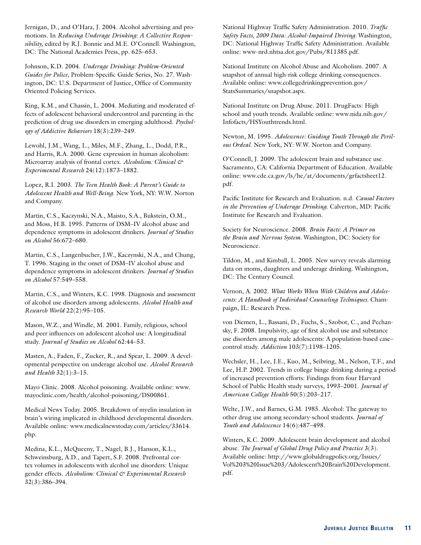Jernigan, D., and O'Hara, J. 2004. Alcohol advertising and promotions. In *Reducing Underage Drinking: A Collective Responsibility,* edited by R.J. Bonnie and M.E. O'Connell. Washington, DC: The National Academies Press, pp. 625–653.

Johnson, K.D. 2004. *Underage Drinking: Problem-Oriented Guides for Police,* Problem-Specific Guide Series, No. 27*.* Washington, DC: U.S. Department of Justice, Office of Community Oriented Policing Services.

King, K.M., and Chassin, L. 2004. Mediating and moderated effects of adolescent behavioral undercontrol and parenting in the prediction of drug use disorders in emerging adulthood. *Psychology of Addictive Behaviors* 18(3):239–249.

Lewohl, J.M., Wang, L., Miles, M.F., Zhang, L., Dodd, P.R., and Harris, R.A. 2000. Gene expression in human alcoholism: Microarray analysis of frontal cortex. *Alcoholism: Clinical & Experimental Research* 24(12):1873–1882.

Lopez, R.I. 2003. *The Teen Health Book: A Parent's Guide to Adolescent Health and Well-Being.* New York, NY: W.W. Norton and Company.

Martin, C.S., Kaczynski, N.A., Maisto, S.A., Bukstein, O.M., and Moss, H.B. 1995. Patterns of DSM–IV alcohol abuse and dependence symptoms in adolescent drinkers. *Journal of Studies on Alcohol* 56:672–680.

Martin, C.S., Langenbucher, J.W., Kaczynski, N.A., and Chung, T. 1996. Staging in the onset of DSM–IV alcohol abuse and dependence symptoms in adolescent drinkers. *Journal of Studies on Alcohol* 57:549–558.

Martin, C.S., and Winters, K.C. 1998. Diagnosis and assessment of alcohol use disorders among adolescents. *Alcohol Health and Research World* 22(2):95–105.

Mason, W.Z., and Windle, M. 2001. Family, religious, school and peer influences on adolescent alcohol use: A longitudinal study. *Journal of Studies on Alcohol* 62:44–53.

Masten, A., Faden, F., Zucker, R., and Spear, L. 2009. A developmental perspective on underage alcohol use. *Alcohol Research and Health* 32(1):3–15.

Mayo Clinic. 2008. Alcohol poisoning. Available online: www. mayoclinic.com/health/alcohol-poisoning/DS00861.

Medical News Today. 2005. Breakdown of myelin insulation in brain's wiring implicated in childhood developmental disorders. Available online: www.medicalnewstoday.com/articles/33614. php.

Medina, K.L., McQueeny, T., Nagel, B.J., Hanson, K.L., Schweinsburg, A.D., and Tapert, S.F. 2008. Prefrontal cortex volumes in adolescents with alcohol use disorders: Unique gender effects. *Alcoholism: Clinical & Experimental Research* 32(3):386–394.

National Highway Traffic Safety Administration. 2010. *Traffic Safety Facts, 2009 Data: Alcohol-Impaired Driving.* Washington, DC: National Highway Traffic Safety Administration. Available online: www-nrd.nhtsa.dot.gov/Pubs/811385.pdf.

National Institute on Alcohol Abuse and Alcoholism. 2007. A snapshot of annual high-risk college drinking consequences. Available online: www.collegedrinkingprevention.gov/ StatsSummaries/snapshot.aspx.

National Institute on Drug Abuse. 2011. DrugFacts: High school and youth trends. Available online: www.nida.nih.gov/ Infofacts/HSYouthtrends.html.

Newton, M. 1995. *Adolescence: Guiding Youth Through the Perilous Ordeal.* New York, NY: W.W. Norton and Company.

O'Connell, J. 2009. The adolescent brain and substance use. Sacramento, CA: California Department of Education. Available online: www.cde.ca.gov/ls/he/at/documents/grfactsheet12. pdf.

Pacific Institute for Research and Evaluation. n.d. *Causal Factors in the Prevention of Underage Drinking.* Calverton, MD: Pacific Institute for Research and Evaluation.

Society for Neuroscience. 2008. *Brain Facts: A Primer on the Brain and Nervous System.* Washington, DC: Society for Neuroscience.

Tildon, M., and Kimball, L. 2005. New survey reveals alarming data on moms, daughters and underage drinking. Washington, DC: The Century Council.

Vernon, A. 2002. *What Works When With Children and Adolescents: A Handbook of Individual Counseling Techniques.* Champaign, IL: Research Press.

von Diemen, L., Bassani, D., Fuchs, S., Szobot, C., and Pechansky, F. 2008. Impulsivity, age of first alcohol use and substance use disorders among male adolescents: A population-based case– control study. *Addiction* 103(7):1198–1205.

Wechsler, H., Lee, J.E., Kuo, M., Seibring, M., Nelson, T.F., and Lee, H.P. 2002. Trends in college binge drinking during a period of increased prevention efforts: Findings from four Harvard School of Public Health study surveys, 1993–2001. *Journal of American College Health* 50(5):203–217.

Welte, J.W., and Barnes, G.M. 1985. Alcohol: The gateway to other drug use among secondary-school students. *Journal of Youth and Adolescence* 14(6):487–498.

Winters, K.C. 2009. Adolescent brain development and alcohol abuse. *The Journal of Global Drug Policy and Practice* 3(3). Available online: http://www.globaldrugpolicy.org/Issues/ Vol%203%20Issue%203/Adolescent%20Brain%20Development. pdf.